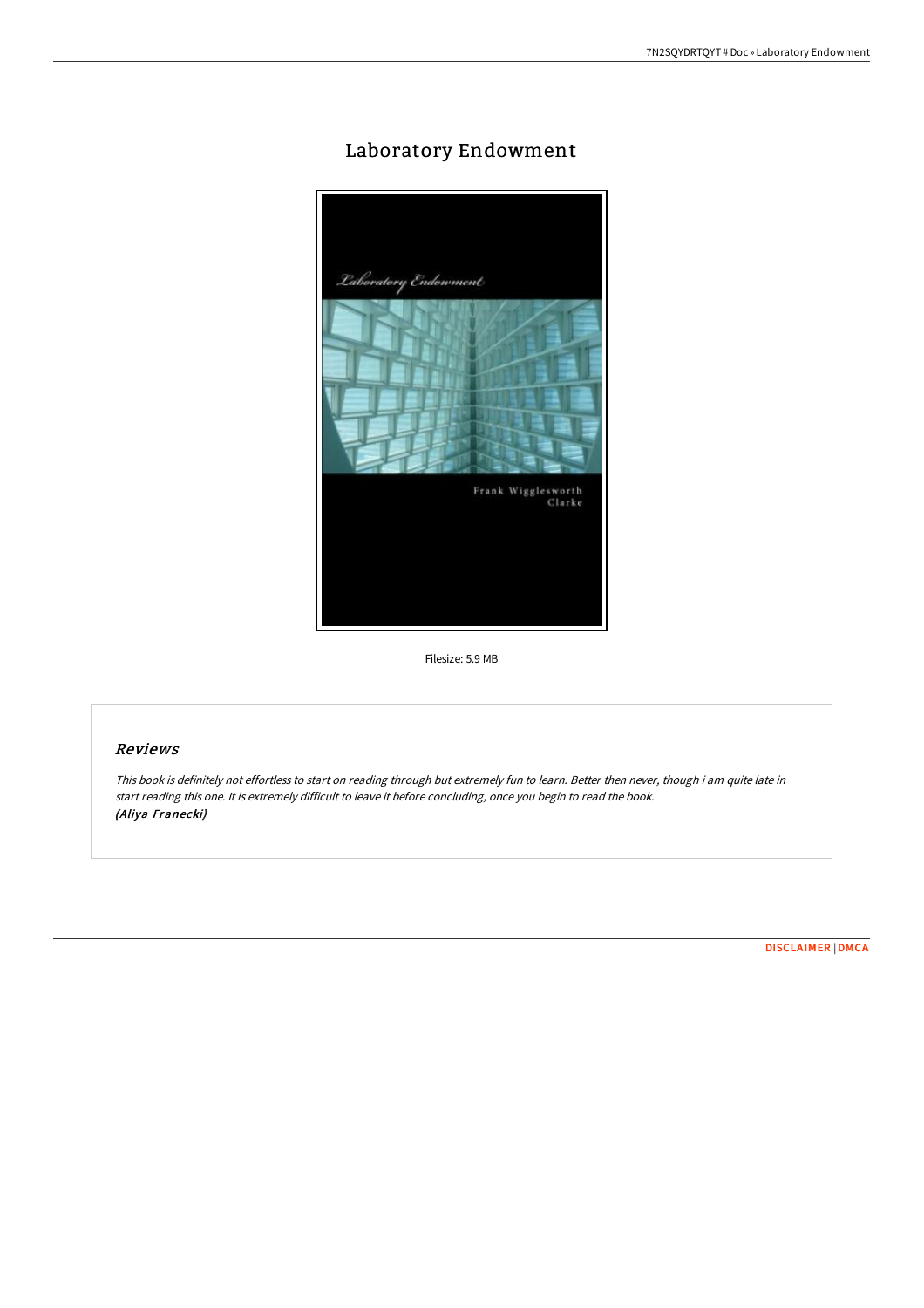## Laboratory Endowment



Filesize: 5.9 MB

## Reviews

This book is definitely not effortless to start on reading through but extremely fun to learn. Better then never, though i am quite late in start reading this one. It is extremely difficult to leave it before concluding, once you begin to read the book. (Aliya Franecki)

[DISCLAIMER](http://albedo.media/disclaimer.html) | [DMCA](http://albedo.media/dmca.html)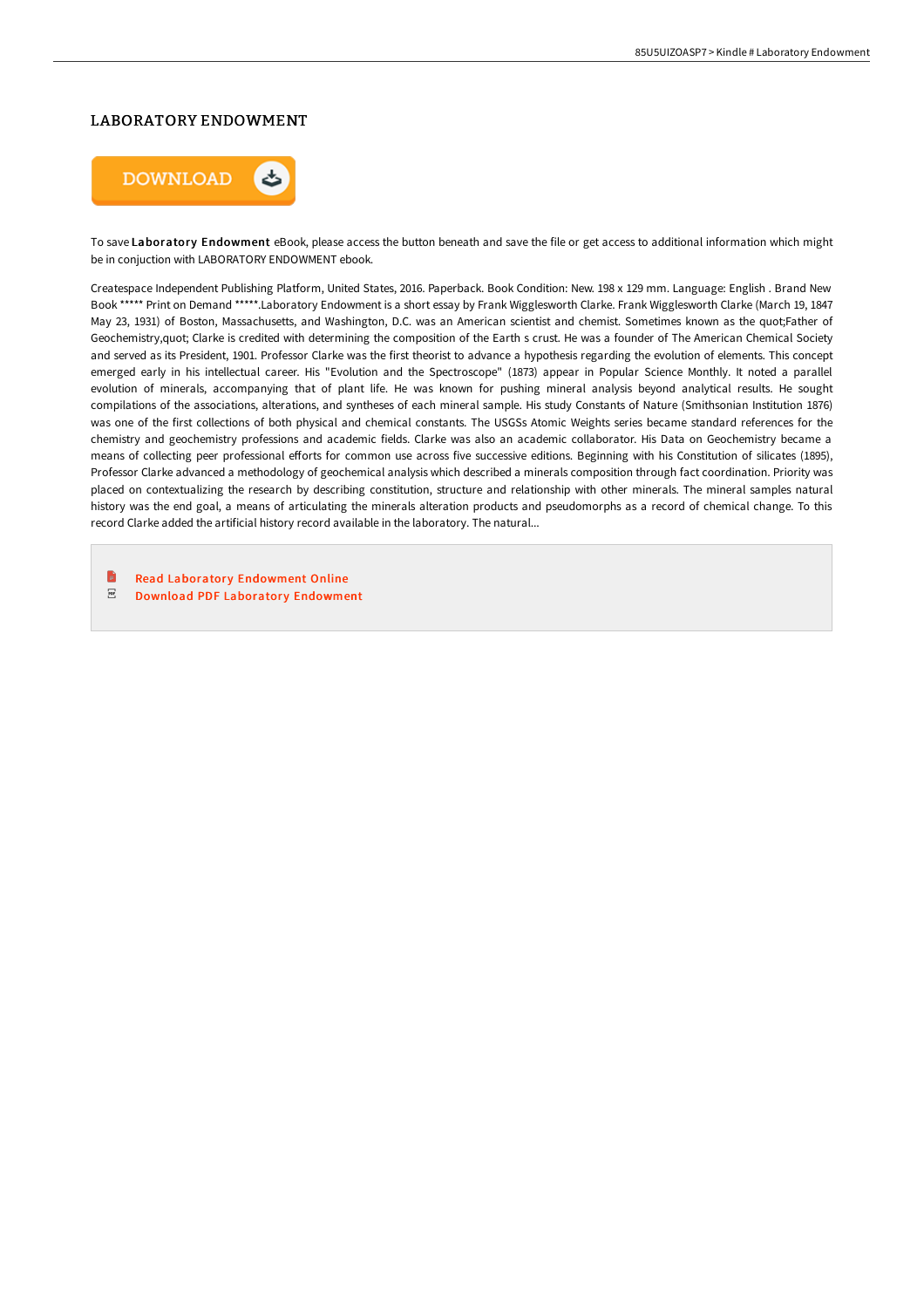## LABORATORY ENDOWMENT



To save Laboratory Endowment eBook, please access the button beneath and save the file or get access to additional information which might be in conjuction with LABORATORY ENDOWMENT ebook.

Createspace Independent Publishing Platform, United States, 2016. Paperback. Book Condition: New. 198 x 129 mm. Language: English . Brand New Book \*\*\*\*\* Print on Demand \*\*\*\*\*.Laboratory Endowment is a short essay by Frank Wigglesworth Clarke. Frank Wigglesworth Clarke (March 19, 1847 May 23, 1931) of Boston, Massachusetts, and Washington, D.C. was an American scientist and chemist. Sometimes known as the quot;Father of Geochemistry,quot; Clarke is credited with determining the composition of the Earth s crust. He was a founder of The American Chemical Society and served as its President, 1901. Professor Clarke was the first theorist to advance a hypothesis regarding the evolution of elements. This concept emerged early in his intellectual career. His "Evolution and the Spectroscope" (1873) appear in Popular Science Monthly. It noted a parallel evolution of minerals, accompanying that of plant life. He was known for pushing mineral analysis beyond analytical results. He sought compilations of the associations, alterations, and syntheses of each mineral sample. His study Constants of Nature (Smithsonian Institution 1876) was one of the first collections of both physical and chemical constants. The USGSs Atomic Weights series became standard references for the chemistry and geochemistry professions and academic fields. Clarke was also an academic collaborator. His Data on Geochemistry became a means of collecting peer professional efforts for common use across five successive editions. Beginning with his Constitution of silicates (1895), Professor Clarke advanced a methodology of geochemical analysis which described a minerals composition through fact coordination. Priority was placed on contextualizing the research by describing constitution, structure and relationship with other minerals. The mineral samples natural history was the end goal, a means of articulating the minerals alteration products and pseudomorphs as a record of chemical change. To this record Clarke added the artificial history record available in the laboratory. The natural...

B Read Laboratory [Endowment](http://albedo.media/laboratory-endowment-paperback.html) Online  $_{\rm PDF}$ Download PDF Laboratory [Endowment](http://albedo.media/laboratory-endowment-paperback.html)